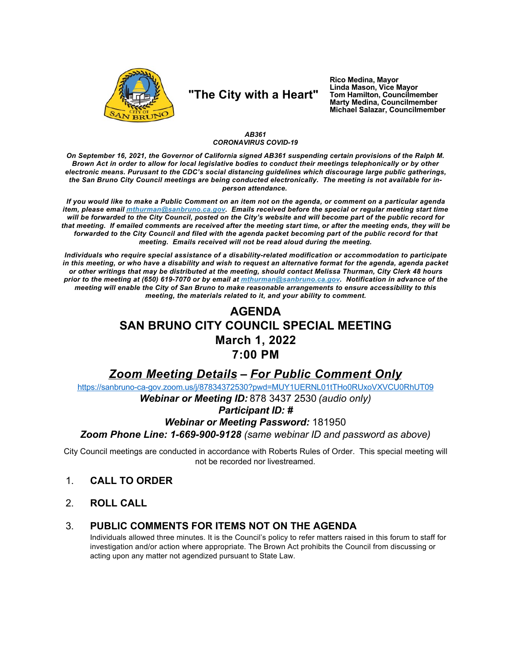

# "The City with a Heart"

Rico Medina, Mayor Linda Mason, Vice Mayor Tom Hamilton, Councilmember Marty Medina, Councilmember Michael Salazar, Councilmember

#### AB361 **CORONAVIRUS COVID-19**

On September 16, 2021, the Governor of California signed AB361 suspending certain provisions of the Ralph M. Brown Act in order to allow for local legislative bodies to conduct their meetings telephonically or by other electronic means. Purusant to the CDC's social distancing guidelines which discourage large public gatherings. the San Bruno City Council meetings are being conducted electronically. The meeting is not available for inperson attendance.

If you would like to make a Public Comment on an item not on the agenda, or comment on a particular agenda item, please email *mthurman@sanbruno.ca.gov.* Emails received before the special or regular meeting start time will be forwarded to the City Council, posted on the City's website and will become part of the public record for that meeting. If emailed comments are received after the meeting start time, or after the meeting ends, they will be forwarded to the City Council and filed with the agenda packet becoming part of the public record for that meeting. Emails received will not be read aloud during the meeting.

Individuals who require special assistance of a disability-related modification or accommodation to participate in this meeting, or who have a disability and wish to request an alternative format for the agenda, agenda packet or other writings that may be distributed at the meeting, should contact Melissa Thurman, City Clerk 48 hours prior to the meeting at (650) 619-7070 or by email at mthurman@sanbruno.ca.gov. Notification in advance of the meeting will enable the City of San Bruno to make reasonable arrangements to ensure accessibility to this meeting, the materials related to it, and your ability to comment.

## **AGENDA SAN BRUNO CITY COUNCIL SPECIAL MEETING March 1, 2022** 7:00 PM

## **Zoom Meeting Details - For Public Comment Only**

https://sanbruno-ca-gov.zoom.us/j/87834372530?pwd=MUY1UERNL01tTHo0RUxoVXVCU0RhUT09

Webinar or Meeting ID: 878 3437 2530 (audio only)

### **Participant ID: #**

### **Webinar or Meeting Password: 181950**

Zoom Phone Line: 1-669-900-9128 (same webinar ID and password as above)

City Council meetings are conducted in accordance with Roberts Rules of Order. This special meeting will not be recorded nor livestreamed.

- $1<sub>1</sub>$ **CALL TO ORDER**
- $2<sub>1</sub>$ **ROLL CALL**

#### PUBLIC COMMENTS FOR ITEMS NOT ON THE AGENDA 3.

Individuals allowed three minutes. It is the Council's policy to refer matters raised in this forum to staff for investigation and/or action where appropriate. The Brown Act prohibits the Council from discussing or acting upon any matter not agendized pursuant to State Law.